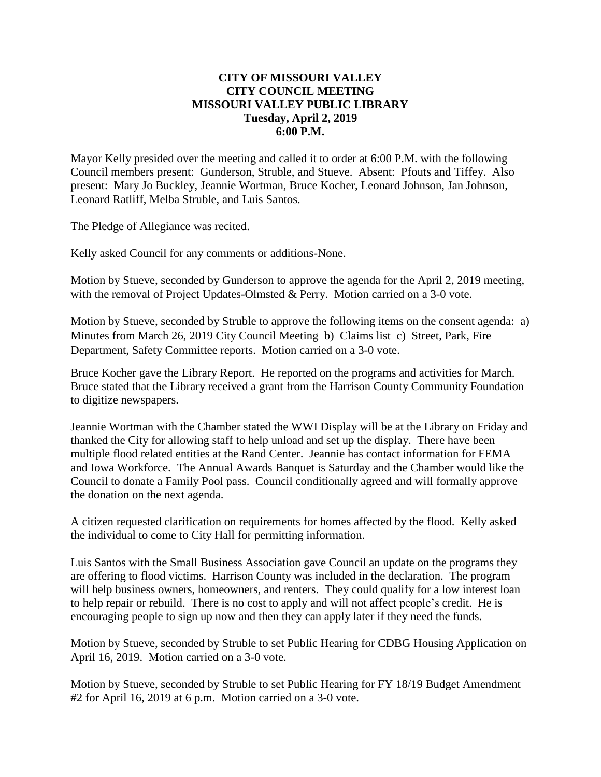### **CITY OF MISSOURI VALLEY CITY COUNCIL MEETING MISSOURI VALLEY PUBLIC LIBRARY Tuesday, April 2, 2019 6:00 P.M.**

Mayor Kelly presided over the meeting and called it to order at 6:00 P.M. with the following Council members present: Gunderson, Struble, and Stueve. Absent: Pfouts and Tiffey. Also present: Mary Jo Buckley, Jeannie Wortman, Bruce Kocher, Leonard Johnson, Jan Johnson, Leonard Ratliff, Melba Struble, and Luis Santos.

The Pledge of Allegiance was recited.

Kelly asked Council for any comments or additions-None.

Motion by Stueve, seconded by Gunderson to approve the agenda for the April 2, 2019 meeting, with the removal of Project Updates-Olmsted & Perry. Motion carried on a 3-0 vote.

Motion by Stueve, seconded by Struble to approve the following items on the consent agenda: a) Minutes from March 26, 2019 City Council Meeting b) Claims list c) Street, Park, Fire Department, Safety Committee reports. Motion carried on a 3-0 vote.

Bruce Kocher gave the Library Report. He reported on the programs and activities for March. Bruce stated that the Library received a grant from the Harrison County Community Foundation to digitize newspapers.

Jeannie Wortman with the Chamber stated the WWI Display will be at the Library on Friday and thanked the City for allowing staff to help unload and set up the display. There have been multiple flood related entities at the Rand Center. Jeannie has contact information for FEMA and Iowa Workforce. The Annual Awards Banquet is Saturday and the Chamber would like the Council to donate a Family Pool pass. Council conditionally agreed and will formally approve the donation on the next agenda.

A citizen requested clarification on requirements for homes affected by the flood. Kelly asked the individual to come to City Hall for permitting information.

Luis Santos with the Small Business Association gave Council an update on the programs they are offering to flood victims. Harrison County was included in the declaration. The program will help business owners, homeowners, and renters. They could qualify for a low interest loan to help repair or rebuild. There is no cost to apply and will not affect people's credit. He is encouraging people to sign up now and then they can apply later if they need the funds.

Motion by Stueve, seconded by Struble to set Public Hearing for CDBG Housing Application on April 16, 2019. Motion carried on a 3-0 vote.

Motion by Stueve, seconded by Struble to set Public Hearing for FY 18/19 Budget Amendment #2 for April 16, 2019 at 6 p.m. Motion carried on a 3-0 vote.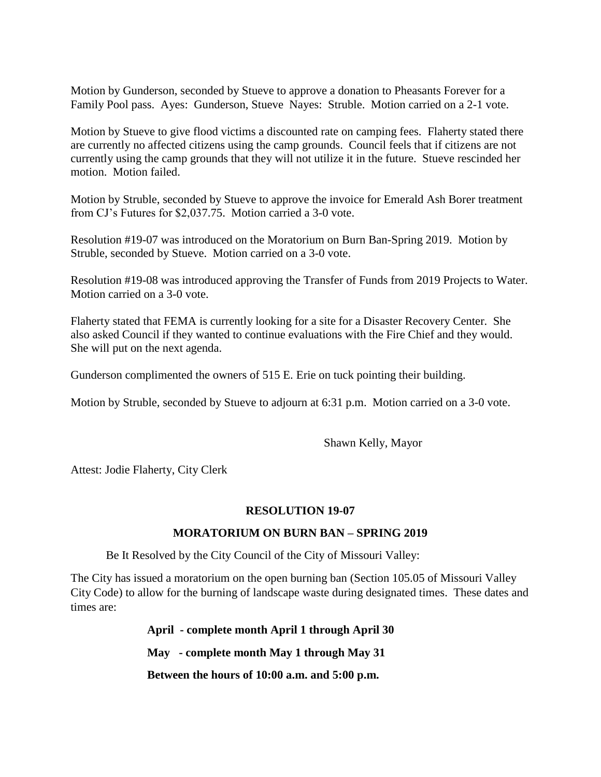Motion by Gunderson, seconded by Stueve to approve a donation to Pheasants Forever for a Family Pool pass. Ayes: Gunderson, Stueve Nayes: Struble. Motion carried on a 2-1 vote.

Motion by Stueve to give flood victims a discounted rate on camping fees. Flaherty stated there are currently no affected citizens using the camp grounds. Council feels that if citizens are not currently using the camp grounds that they will not utilize it in the future. Stueve rescinded her motion. Motion failed.

Motion by Struble, seconded by Stueve to approve the invoice for Emerald Ash Borer treatment from CJ's Futures for \$2,037.75. Motion carried a 3-0 vote.

Resolution #19-07 was introduced on the Moratorium on Burn Ban-Spring 2019. Motion by Struble, seconded by Stueve. Motion carried on a 3-0 vote.

Resolution #19-08 was introduced approving the Transfer of Funds from 2019 Projects to Water. Motion carried on a 3-0 vote.

Flaherty stated that FEMA is currently looking for a site for a Disaster Recovery Center. She also asked Council if they wanted to continue evaluations with the Fire Chief and they would. She will put on the next agenda.

Gunderson complimented the owners of 515 E. Erie on tuck pointing their building.

Motion by Struble, seconded by Stueve to adjourn at 6:31 p.m. Motion carried on a 3-0 vote.

Shawn Kelly, Mayor

Attest: Jodie Flaherty, City Clerk

#### **RESOLUTION 19-07**

### **MORATORIUM ON BURN BAN – SPRING 2019**

Be It Resolved by the City Council of the City of Missouri Valley:

The City has issued a moratorium on the open burning ban (Section 105.05 of Missouri Valley City Code) to allow for the burning of landscape waste during designated times. These dates and times are:

> **April - complete month April 1 through April 30 May - complete month May 1 through May 31 Between the hours of 10:00 a.m. and 5:00 p.m.**